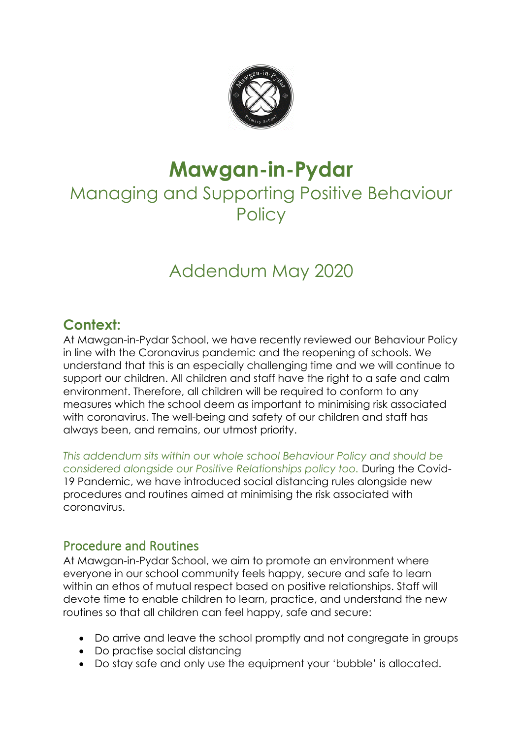

## **Mawgan-in-Pydar**

Managing and Supporting Positive Behaviour **Policy** 

### Addendum May 2020

#### **Context:**

At Mawgan-in-Pydar School, we have recently reviewed our Behaviour Policy in line with the Coronavirus pandemic and the reopening of schools. We understand that this is an especially challenging time and we will continue to support our children. All children and staff have the right to a safe and calm environment. Therefore, all children will be required to conform to any measures which the school deem as important to minimising risk associated with coronavirus. The well-being and safety of our children and staff has always been, and remains, our utmost priority.

*This addendum sits within our whole school Behaviour Policy and should be considered alongside our Positive Relationships policy too.* During the Covid-19 Pandemic, we have introduced social distancing rules alongside new procedures and routines aimed at minimising the risk associated with coronavirus.

#### Procedure and Routines

At Mawgan-in-Pydar School, we aim to promote an environment where everyone in our school community feels happy, secure and safe to learn within an ethos of mutual respect based on positive relationships. Staff will devote time to enable children to learn, practice, and understand the new routines so that all children can feel happy, safe and secure:

- Do arrive and leave the school promptly and not congregate in groups
- Do practise social distancing
- Do stay safe and only use the equipment your 'bubble' is allocated.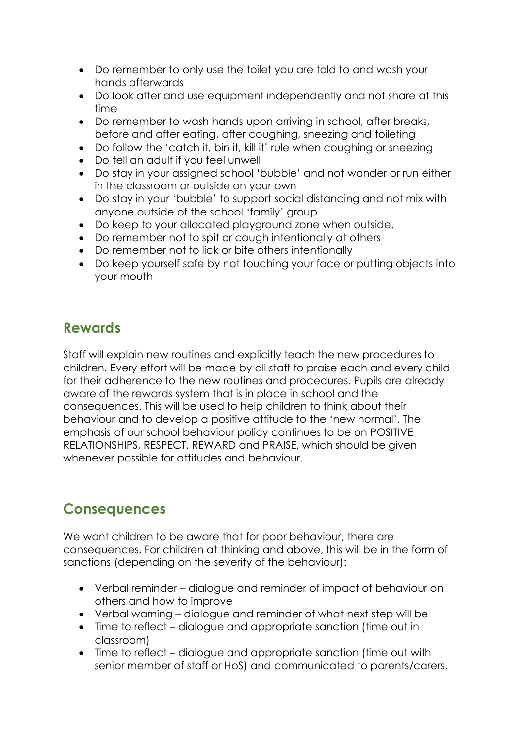- Do remember to only use the toilet you are told to and wash your hands afterwards
- Do look after and use equipment independently and not share at this time
- Do remember to wash hands upon arriving in school, after breaks, before and after eating, after coughing, sneezing and toileting
- Do follow the 'catch it, bin it, kill it' rule when coughing or sneezing
- Do tell an adult if you feel unwell
- Do stay in your assigned school 'bubble' and not wander or run either in the classroom or outside on your own
- Do stay in your 'bubble' to support social distancing and not mix with anyone outside of the school 'family' group
- Do keep to your allocated playground zone when outside.
- Do remember not to spit or cough intentionally at others
- Do remember not to lick or bite others intentionally
- Do keep yourself safe by not touching your face or putting objects into your mouth

#### **Rewards**

Staff will explain new routines and explicitly teach the new procedures to children. Every effort will be made by all staff to praise each and every child for their adherence to the new routines and procedures. Pupils are already aware of the rewards system that is in place in school and the consequences. This will be used to help children to think about their behaviour and to develop a positive attitude to the 'new normal'. The emphasis of our school behaviour policy continues to be on POSITIVE RELATIONSHIPS, RESPECT, REWARD and PRAISE, which should be given whenever possible for attitudes and behaviour.

#### **Consequences**

We want children to be aware that for poor behaviour, there are consequences. For children at thinking and above, this will be in the form of sanctions (depending on the severity of the behaviour):

- Verbal reminder dialogue and reminder of impact of behaviour on others and how to improve
- Verbal warning dialogue and reminder of what next step will be
- Time to reflect dialogue and appropriate sanction (time out in classroom)
- Time to reflect dialogue and appropriate sanction (time out with senior member of staff or HoS) and communicated to parents/carers.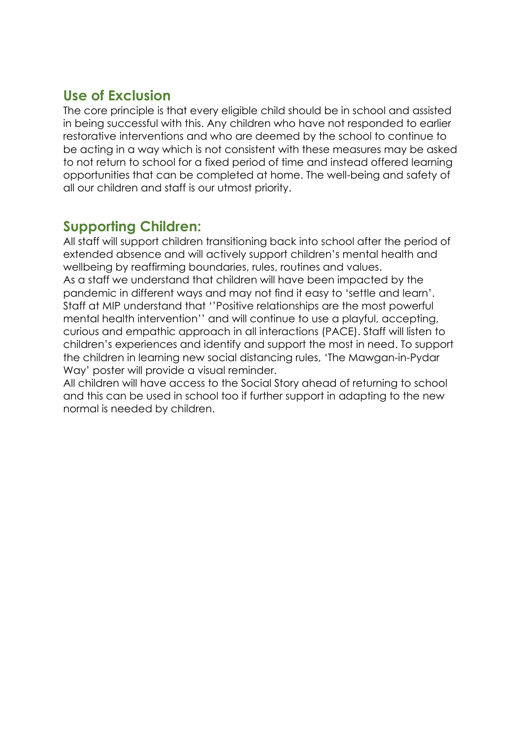#### **Use of Exclusion**

The core principle is that every eligible child should be in school and assisted in being successful with this. Any children who have not responded to earlier restorative interventions and who are deemed by the school to continue to be acting in a way which is not consistent with these measures may be asked to not return to school for a fixed period of time and instead offered learning opportunities that can be completed at home. The well-being and safety of all our children and staff is our utmost priority.

#### **Supporting Children:**

All staff will support children transitioning back into school after the period of extended absence and will actively support children's mental health and wellbeing by reaffirming boundaries, rules, routines and values. As a staff we understand that children will have been impacted by the pandemic in different ways and may not find it easy to 'settle and learn'. Staff at MIP understand that ''Positive relationships are the most powerful mental health intervention'' and will continue to use a playful, accepting, curious and empathic approach in all interactions (PACE). Staff will listen to children's experiences and identify and support the most in need. To support the children in learning new social distancing rules, 'The Mawgan-in-Pydar Way' poster will provide a visual reminder.

All children will have access to the Social Story ahead of returning to school and this can be used in school too if further support in adapting to the new normal is needed by children.